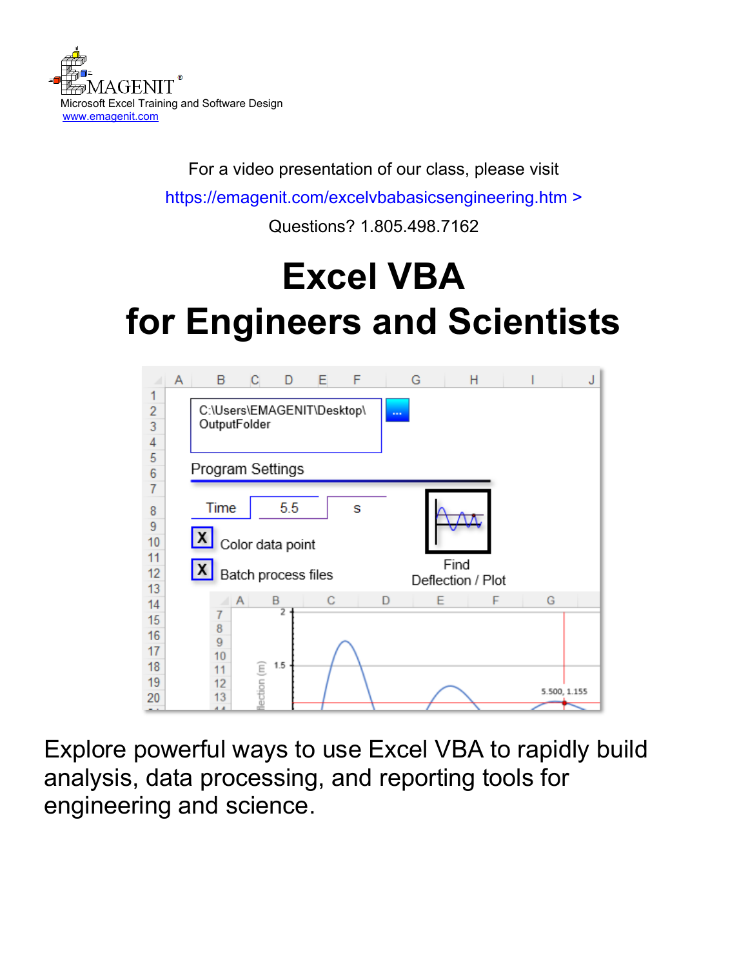

For a video presentation of our class, please visit

<https://emagenit.com/excelvbabasicsengineering.htm>>

Questions? 1.805.498.7162

# **Excel VBA for Engineers and Scientists**



Explore powerful ways to use Excel VBA to rapidly build analysis, data processing, and reporting tools for engineering and science.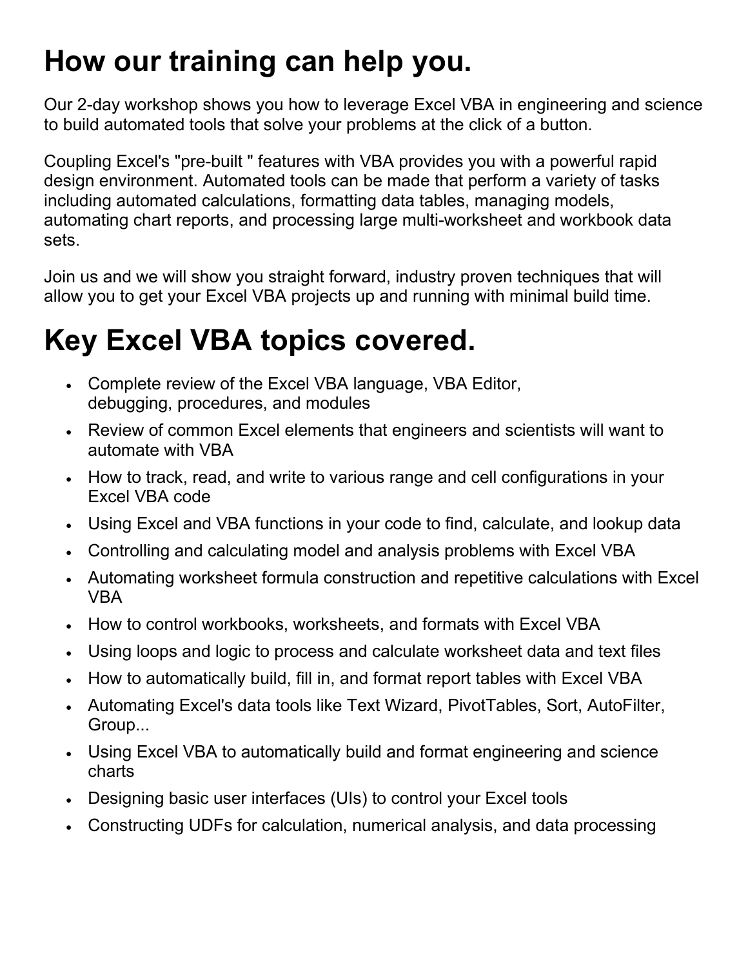### **How our training can help you.**

Our 2-day workshop shows you how to leverage Excel VBA in engineering and science to build automated tools that solve your problems at the click of a button.

Coupling Excel's "pre-built " features with VBA provides you with a powerful rapid design environment. Automated tools can be made that perform a variety of tasks including automated calculations, formatting data tables, managing models, automating chart reports, and processing large multi-worksheet and workbook data sets.

Join us and we will show you straight forward, industry proven techniques that will allow you to get your Excel VBA projects up and running with minimal build time.

### **Key Excel VBA topics covered.**

- Complete review of the Excel VBA language, VBA Editor, debugging, procedures, and modules
- Review of common Excel elements that engineers and scientists will want to automate with VBA
- How to track, read, and write to various range and cell configurations in your Excel VBA code
- Using Excel and VBA functions in your code to find, calculate, and lookup data
- Controlling and calculating model and analysis problems with Excel VBA
- Automating worksheet formula construction and repetitive calculations with Excel VBA
- How to control workbooks, worksheets, and formats with Excel VBA
- Using loops and logic to process and calculate worksheet data and text files
- How to automatically build, fill in, and format report tables with Excel VBA
- Automating Excel's data tools like Text Wizard, PivotTables, Sort, AutoFilter, Group...
- Using Excel VBA to automatically build and format engineering and science charts
- Designing basic user interfaces (UIs) to control your Excel tools
- Constructing UDFs for calculation, numerical analysis, and data processing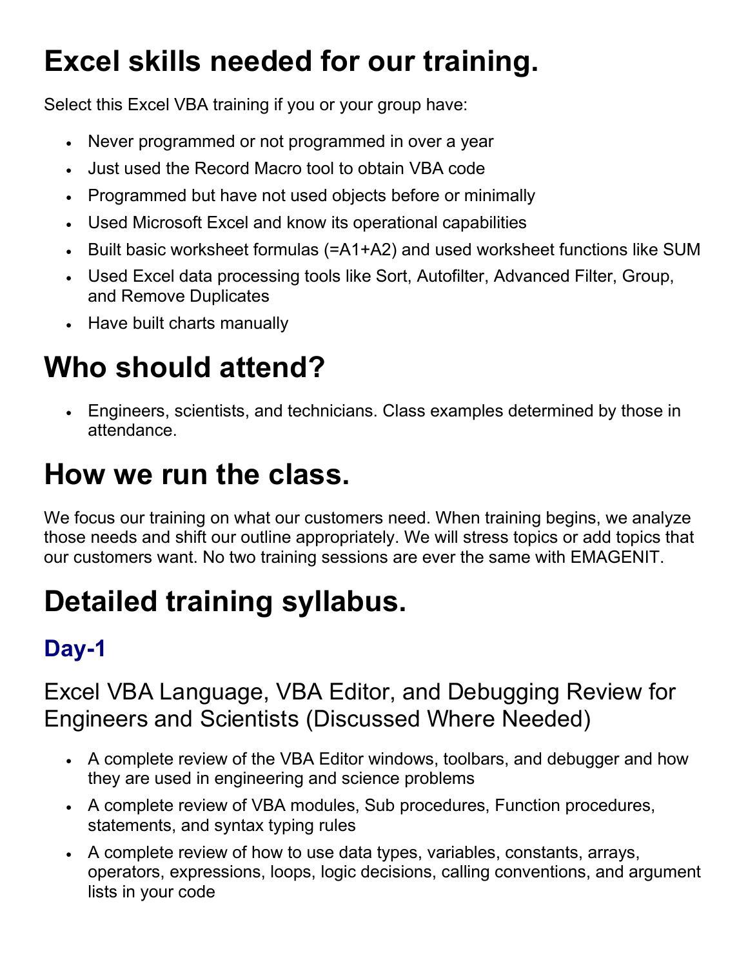### **Excel skills needed for our training.**

Select this Excel VBA training if you or your group have:

- Never programmed or not programmed in over a year
- Just used the Record Macro tool to obtain VBA code
- Programmed but have not used objects before or minimally
- Used Microsoft Excel and know its operational capabilities
- Built basic worksheet formulas (=A1+A2) and used worksheet functions like SUM
- Used Excel data processing tools like Sort, Autofilter, Advanced Filter, Group, and Remove Duplicates
- Have built charts manually

## **Who should attend?**

• Engineers, scientists, and technicians. Class examples determined by those in attendance.

### **How we run the class.**

We focus our training on what our customers need. When training begins, we analyze those needs and shift our outline appropriately. We will stress topics or add topics that our customers want. No two training sessions are ever the same with EMAGENIT.

# **Detailed training syllabus.**

### **Day-1**

#### Excel VBA Language, VBA Editor, and Debugging Review for Engineers and Scientists (Discussed Where Needed)

- A complete review of the VBA Editor windows, toolbars, and debugger and how they are used in engineering and science problems
- A complete review of VBA modules, Sub procedures, Function procedures, statements, and syntax typing rules
- A complete review of how to use data types, variables, constants, arrays, operators, expressions, loops, logic decisions, calling conventions, and argument lists in your code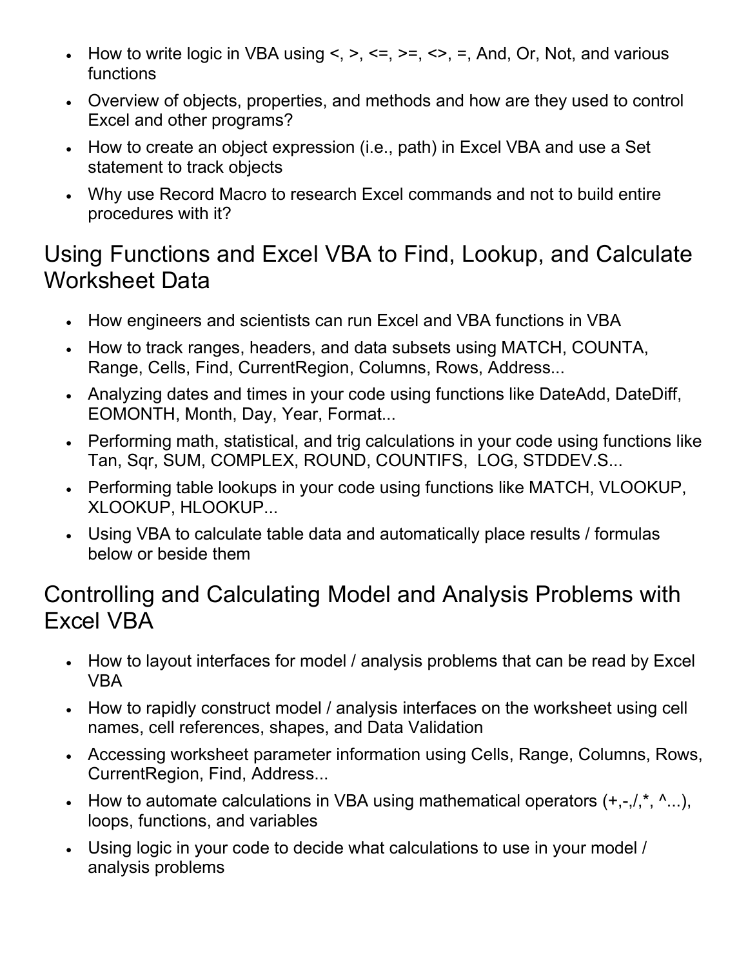- How to write logic in VBA using  $\leq, \leq, \leq, \leq, \leq, \leq,$  And, Or, Not, and various functions
- Overview of objects, properties, and methods and how are they used to control Excel and other programs?
- How to create an object expression (i.e., path) in Excel VBA and use a Set statement to track objects
- Why use Record Macro to research Excel commands and not to build entire procedures with it?

#### Using Functions and Excel VBA to Find, Lookup, and Calculate Worksheet Data

- How engineers and scientists can run Excel and VBA functions in VBA
- How to track ranges, headers, and data subsets using MATCH, COUNTA, Range, Cells, Find, CurrentRegion, Columns, Rows, Address...
- Analyzing dates and times in your code using functions like DateAdd, DateDiff, EOMONTH, Month, Day, Year, Format...
- Performing math, statistical, and trig calculations in your code using functions like Tan, Sqr, SUM, COMPLEX, ROUND, COUNTIFS, LOG, STDDEV.S...
- Performing table lookups in your code using functions like MATCH, VLOOKUP, XLOOKUP, HLOOKUP...
- Using VBA to calculate table data and automatically place results / formulas below or beside them

#### Controlling and Calculating Model and Analysis Problems with Excel VBA

- How to layout interfaces for model / analysis problems that can be read by Excel VBA
- How to rapidly construct model / analysis interfaces on the worksheet using cell names, cell references, shapes, and Data Validation
- Accessing worksheet parameter information using Cells, Range, Columns, Rows, CurrentRegion, Find, Address...
- How to automate calculations in VBA using mathematical operators  $(+,-/,-, 1, 1)$ , loops, functions, and variables
- Using logic in your code to decide what calculations to use in your model / analysis problems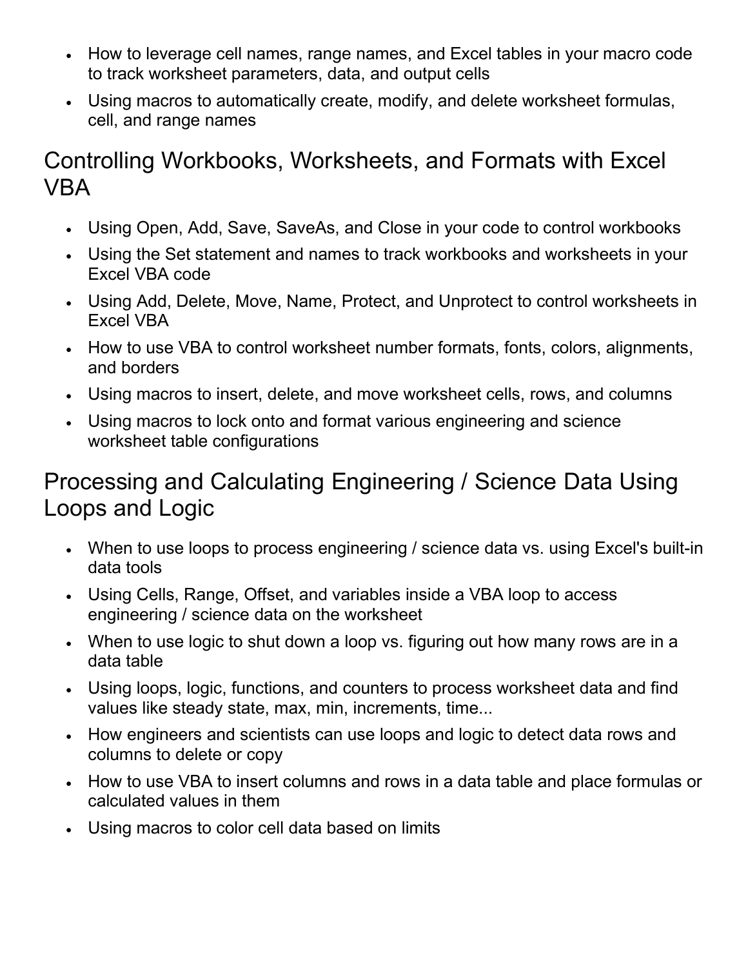- How to leverage cell names, range names, and Excel tables in your macro code to track worksheet parameters, data, and output cells
- Using macros to automatically create, modify, and delete worksheet formulas, cell, and range names

#### Controlling Workbooks, Worksheets, and Formats with Excel VBA

- Using Open, Add, Save, SaveAs, and Close in your code to control workbooks
- Using the Set statement and names to track workbooks and worksheets in your Excel VBA code
- Using Add, Delete, Move, Name, Protect, and Unprotect to control worksheets in Excel VBA
- How to use VBA to control worksheet number formats, fonts, colors, alignments, and borders
- Using macros to insert, delete, and move worksheet cells, rows, and columns
- Using macros to lock onto and format various engineering and science worksheet table configurations

#### Processing and Calculating Engineering / Science Data Using Loops and Logic

- When to use loops to process engineering / science data vs. using Excel's built-in data tools
- Using Cells, Range, Offset, and variables inside a VBA loop to access engineering / science data on the worksheet
- When to use logic to shut down a loop vs. figuring out how many rows are in a data table
- Using loops, logic, functions, and counters to process worksheet data and find values like steady state, max, min, increments, time...
- How engineers and scientists can use loops and logic to detect data rows and columns to delete or copy
- How to use VBA to insert columns and rows in a data table and place formulas or calculated values in them
- Using macros to color cell data based on limits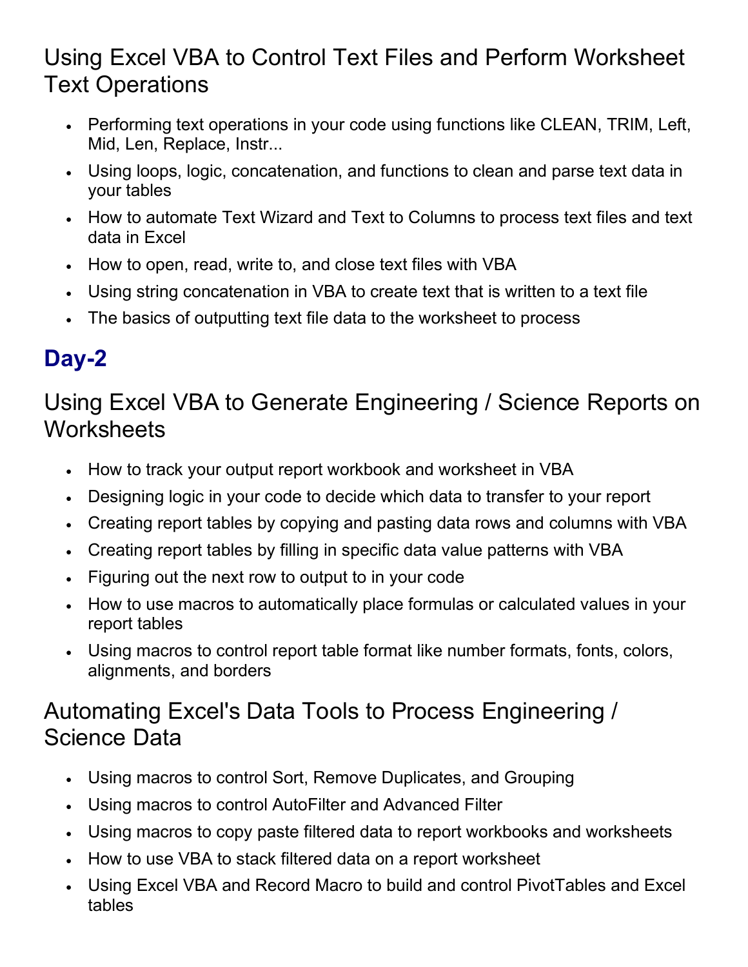#### Using Excel VBA to Control Text Files and Perform Worksheet Text Operations

- Performing text operations in your code using functions like CLEAN, TRIM, Left, Mid, Len, Replace, Instr...
- Using loops, logic, concatenation, and functions to clean and parse text data in your tables
- How to automate Text Wizard and Text to Columns to process text files and text data in Excel
- How to open, read, write to, and close text files with VBA
- Using string concatenation in VBA to create text that is written to a text file
- The basics of outputting text file data to the worksheet to process

### **Day-2**

Using Excel VBA to Generate Engineering / Science Reports on **Worksheets** 

- How to track your output report workbook and worksheet in VBA
- Designing logic in your code to decide which data to transfer to your report
- Creating report tables by copying and pasting data rows and columns with VBA
- Creating report tables by filling in specific data value patterns with VBA
- Figuring out the next row to output to in your code
- How to use macros to automatically place formulas or calculated values in your report tables
- Using macros to control report table format like number formats, fonts, colors, alignments, and borders

#### Automating Excel's Data Tools to Process Engineering / Science Data

- Using macros to control Sort, Remove Duplicates, and Grouping
- Using macros to control AutoFilter and Advanced Filter
- Using macros to copy paste filtered data to report workbooks and worksheets
- How to use VBA to stack filtered data on a report worksheet
- Using Excel VBA and Record Macro to build and control PivotTables and Excel tables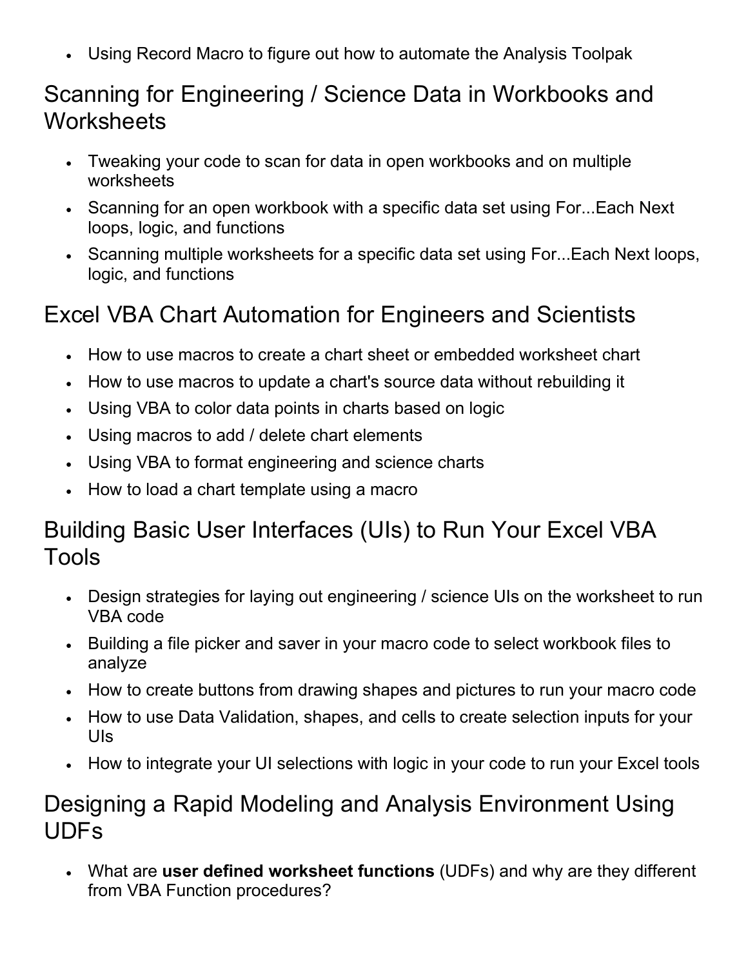• Using Record Macro to figure out how to automate the Analysis Toolpak

#### Scanning for Engineering / Science Data in Workbooks and **Worksheets**

- Tweaking your code to scan for data in open workbooks and on multiple worksheets
- Scanning for an open workbook with a specific data set using For...Each Next loops, logic, and functions
- Scanning multiple worksheets for a specific data set using For...Each Next loops, logic, and functions

#### Excel VBA Chart Automation for Engineers and Scientists

- How to use macros to create a chart sheet or embedded worksheet chart
- How to use macros to update a chart's source data without rebuilding it
- Using VBA to color data points in charts based on logic
- Using macros to add / delete chart elements
- Using VBA to format engineering and science charts
- How to load a chart template using a macro

#### Building Basic User Interfaces (UIs) to Run Your Excel VBA Tools

- Design strategies for laying out engineering / science UIs on the worksheet to run VBA code
- Building a file picker and saver in your macro code to select workbook files to analyze
- How to create buttons from drawing shapes and pictures to run your macro code
- How to use Data Validation, shapes, and cells to create selection inputs for your UIs
- How to integrate your UI selections with logic in your code to run your Excel tools

#### Designing a Rapid Modeling and Analysis Environment Using UDFs

• What are **user defined worksheet functions** (UDFs) and why are they different from VBA Function procedures?